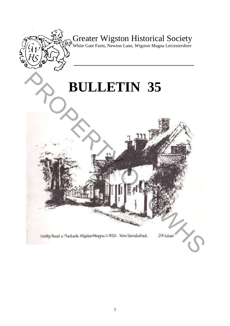

# Greater Wigston Historical Society

White Gate Farm, Newton Lane, Wigston Magna Leicestershire

**\_\_\_\_\_\_\_\_\_\_\_\_\_\_\_\_\_\_\_\_\_\_\_\_\_\_\_\_\_\_\_\_\_\_\_\_\_\_\_** 

# **BULLETIN 35** PROPERTY 35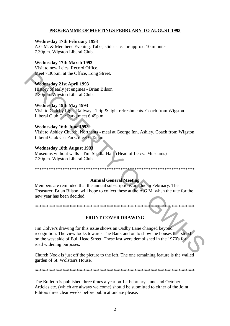## **PROGRAMME OF MEETINGS FEBRUARY TO AUGUST 1993**

#### **Wednesday 17th February 1993**

A.G.M. & Member's Evening. Talks, slides etc. for approx. 10 minutes. 7.30p.m. Wigston Liberal Club.

#### **Wednesday 17th March 1993**

Visit to new Leics. Record Office. Meet 7.30p.m. at the Office, Long Street.

#### **Wednesday 21st April 1993**

History of early jet engines - Brian Bilson. 7.30p.m. Wigston Liberal Club.

#### **Wednesday 19th May 1993**

Visit to Cadeby Light Railway - Trip & light refreshments. Coach from Wigston Liberal Club Car Park, meet 6.45p.m.

#### **Wednesday 16th June 1993**

Visit to Ashley Church, Northants - meal at George Inn, Ashley. Coach from Wigston Liberal Club Car Park, meet 6.45p.m.

#### **Wednesday 18th August 1993**

Museums without walls - Tim Shadla-Hall (Head of Leics. Museums) 7.30p.m. Wigston Liberal Club.

#### \*\*\*\*\*\*\*\*\*\*\*\*\*\*\*\*\*\*\*\*\*\*\*\*\*\*\*\*\*\*\*\*\*\*\*\*\*\*\*\*\*\*\*\*\*\*\*\*\*\*\*\*\*\*\*\*\*\*\*\*\*\*\*\*\*\*\*\*\*

# **Annual General Meeting**

Members are reminded that the annual subscriptions are due in February. The Treasurer, Brian Bilson, will hope to collect these at the A.G.M. when the rate for the new year has been decided.

\*\*\*\*\*\*\*\*\*\*\*\*\*\*\*\*\*\*\*\*\*\*\*\*\*\*\*\*\*\*\*\*\*\*\*\*\*\*\*\*\*\*\*\*\*\*\*\*\*\*\*\*\*\*\*\*\*\*\*\*\*\*\*\*\*\*\*\*\*

#### **FRONT COVER DRAWING**

Jim Colver's drawing for this issue shows an Oadby Lane changed beyond recognition. The view looks towards The Bank and on to show the houses that stood on the west side of Bull Head Street. These last were demolished in the 1970's for road widening purposes. Meet 7.30p.m. at the Office. Long Street.<br>
Wednesday 21st April 1993<br>
History of early jet engines - Brian Bilson.<br>
7.30p.m. Wigston Liberal Club.<br>
Wednesday 19th May 1993<br>
Visit to Gadest Liberal Rubway - Trip & light ref

Church Nook is just off the picture to the left. The one remaining feature is the walled garden of St. Wolstan's House.

\*\*\*\*\*\*\*\*\*\*\*\*\*\*\*\*\*\*\*\*\*\*\*\*\*\*\*\*\*\*\*\*\*\*\*\*\*\*\*\*\*\*\*\*\*\*\*\*\*\*\*\*\*\*\*\*\*\*\*\*\*\*\*\*\*\*\*\*\*

The Bulletin is published three times a year on 1st February, June and October. Articles etc. (which are always welcome) should be submitted to either of the Joint Editors three clear weeks before publicationdate please.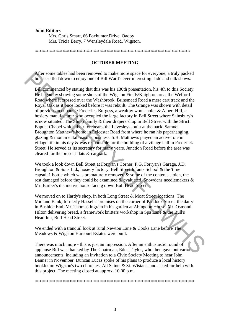#### **Joint Editors**

Mrs. Chris Smart, 66 Foxhunter Drive, Oadby Mrs. Tricia Berry, 7 Wensleydale Road, Wigston.

\*\*\*\*\*\*\*\*\*\*\*\*\*\*\*\*\*\*\*\*\*\*\*\*\*\*\*\*\*\*\*\*\*\*\*\*\*\*\*\*\*\*\*\*\*\*\*\*\*\*\*\*\*\*\*\*\*\*\*\*\*\*\*\*\*\*\*

#### **OCTOBER MEETING**

After some tables had been removed to make more space for everyone, a truly packed house settled down to enjoy one of Bill Ward's ever interesting slide and talk shows.

Bill commenced by stating that this was his 130th presentation, his 4th to this Society. He began by showing some shots of the Wigston Fields/Knighton area, the Welford Road where it crossed over the Washbrook, Brinsmead Road a mere cart track and the Royal Oak as it once looked before it was rebuilt. The Grange was shown with detail of previous occupants> Frederick Burgess, a wealthy woolstapler & Albert Hill, a hosiery manufacturer who occupied the large factory in Bell Street where Sainsbury's is now situated. The Shipp family & their drapers shop in Bell Street with the Strict Baptist Chapel which their forebears, the Levesleys, built at the back. Samuel Broughton Matthew's home in Leicester Road from where he ran his paperhanging, glazing & monumental masons business. S.B. Matthews played an active role in village life in his day & was responsible for the building of a village hall in Frederick Street. He served as its secretary for many years. Junction Road before the area was cleared for the present flats & car park. After some tables hald been removed to make more space for everyone, a truly packed and the space of the Nustrae Media (Mustrae Hall compared by stating that this was his 130th presentation. his 4th to this Society. He beg

We took a look down Bell Street at Forryan's Corner, P.G. Forryan's Garage, J.D. Broughton & Sons Ltd., hosiery factory, Bell Street Infants School & the 'time capsule1 bottle which was prematurely removed & some of the contents stolen, the rest damaged before they could be examined & evaluated, Snowdens needlemakers & Mr. Barber's distinctive house facing down Bull Head Street.

We moved on to Hardy's shop, in both Long Street & Moat Street locations, The Midland Bank, formerly Hassell's premises on the corner of Paddock Street, the dairy in Bushloe End, Mr. Thomas Ingram in his garden at Abingdon House, Mr. Osmond Hilton delivering bread, a framework knitters workshop in Spa Lane & the Bull's Head Inn, Bull Head Street.

We ended with a tranquil look at rural Newton Lane & Cooks Lane before The Meadows & Wigston Harcourt Estates were built.

There was much more - this is just an impression. After an enthusiastic round of applause Bill was thanked by The Chairman, Edna Taylor, who then gave out various announcements, including an invitation to a Civic Society Meeting to hear John Banner in November. Duncan Lucas spoke of his plans to produce a local history booklet on Wigston's two churches, All Saints & St. Wistans, and asked for help with this project. The meeting closed at approx. 10 00 p.m.

\*\*\*\*\*\*\*\*\*\*\*\*\*\*\*\*\*\*\*\*\*\*\*\*\*\*\*\*\*\*\*\*\*\*\*\*\*\*\*\*\*\*\*\*\*\*\*\*\*\*\*\*\*\*\*\*\*\*\*\*\*\*\*\*\*\*\*\*\*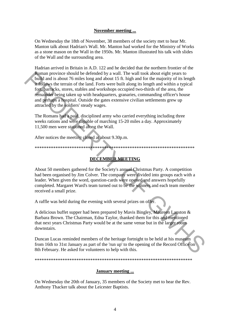#### **November meeting ...**

On Wednesday the 18th of November, 38 members of the society met to hear Mr. Manton talk about Hadrian's Wall. Mr. Manton had worked for the Ministry of Works as a stone mason on the Wall in the 1950s. Mr. Manton illustrated his talk with slides of the Wall and the surrounding area.

Hadrian arrived in Britain in A.D. 122 and he decided that the northern frontier of the Roman province should be defended by a wall. The wall took about eight years to build and is about 76 miles long and about 15 ft. high and for the majority of its length it follows the terrain of the land. Forts were built along its length and within a typical fort, barracks, stores, stables and workshops occupied two-thirds of the area, the remainder being taken up with headquarters, granaries, commanding officer's house and perhaps a hospital. Outside the gates extensive civilian settlements grew up attracted by the soldiers' steady wages. **Roman province should be defended by a wall. The wall took about zeras to be<br>loudd and is about 76 miles long and about 15 ft. high and for the majority of its length<br>the loud, beams, the term of the land. Forts were bui** 

The Romans had a paid, disciplined army who carried everything including three weeks rations and were capable of marching 15-20 miles a day. Approximately 11,500 men were stationed along the Wall.

After notices the meeting closed at about 9.30p.m.

\*\*\*\*\*\*\*\*\*\*\*\*\*\*\*\*\*\*\*\*\*\*\*\*\*\*\*\*\*\*\*\*\*\*\*\*\*\*\*\*\*\*\*\*\*\*\*\*\*\*\*\*\*\*\*\*\*\*\*\*\*\*\*\*\*\*\*\*\*

# **DECEMBER MEETING**

About 50 members gathered for the Society's annual Christmas Party. A competition had been organised by Jim Colver. The company were divided into groups each with a leader. When given the word, question-cards were opened and answers hopefully completed. Margaret Ward's team turned out to be the winners and each team member received a small prize.

A raffle was held during the evening with several prizes on offer.

A delicious buffet supper had been prepared by Mavis Bingley, Maureen Lanston & Barbara Brown. The Chairman, Edna Taylor, thanked them for this and mentioned that next years Christmas Party would be at the same venue but in the larger room downstairs.

Duncan Lucas reminded members of the heritage fortnight to be held at his museum from 16th to 31st January as part of the 'run up' to the opening of the Record Office on 8th February. He asked for volunteers to help with this.

\*\*\*\*\*\*\*\*\*\*\*\*\*\*\*\*\*\*\*\*\*\*\*\*\*\*\*\*\*\*\*\*\*\*\*\*\*\*\*\*\*\*\*\*\*\*\*\*\*\*\*\*\*\*\*\*\*\*\*\*\*\*\*\*\*\*\*\*

#### **January meeting ...**

On Wednesday the 20th of January, 35 members of the Society met to hear the Rev. Anthony Thacker talk about the Leicester Baptists.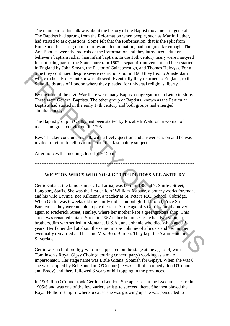The main part of his talk was about the history of the Baptist movement in general. The Baptists had sprung from the Reformation when people, such as Martin Luther, had started to ask questions. Some felt that the Reformation, that is the split from Rome and the setting up of a Protestant denomination, had not gone far enough. The Ana Baptists were the radicals of the Reformation and they introduced adult or believer's baptism rather than infant baptism. In the 16th century many were martyred for not being part of the State church. In 1607 a separatist movement had been started in England by John Smyth, the Pastor of Gainsborough, and Thomas Helwyss. For a time they continued despite severe restrictions but in 1608 they fled to Amsterdam where radical Protestantism was allowed. Eventually they returned to England, to the Spitalfields area of London where they pleaded for universal religious liberty.

By the time of the civil War there were many Baptist congregations in Leicestershire. These were General Baptists. The other group of Baptists, known as the Particular Baptists had started in the early 17th century and both groups had emerged simultaneously.

The Baptist group in Oadby had been started by Elizabeth Waldron, a woman of means and great conviction, in 1795.

Rev. Thacker conclude his talk with a lively question and answer session and he was invited to return to tell us more about this fascinating subject.

After notices the meeting closed at 9.15p.m.

# WIGSTON WHO'S WHO NO; 4 GERTRUDE ROSS NEE ASTBURY

Gertie Gitana, the famous music hall artist, was born in 1888 at 7, Shirley Street, Longport, Staffs. She was the first child of William Astbury, a pottery works foreman, and his wife Lavinia, nee Kilkenny, a teacher at St. Peter's R.C. School, Cobridge. When Gertie was 6 weeks old the family did a "moonlight flit1 to 50, Price Street, Burslem as they were unable to pay the rent. At the age of 3 Gertie's family moved again to Frederick Street, Hanley, where her mother kept a greengrocers shop. This street was renamed Gitana Street in 1957 in her honour. Gertie had two younger brothers. Jim who settled in Montana, U.S.A., and Johnnie who died when aged 3 years. Her father died at about the same time as Johnnie of silicosis and her mother eventually remarried and became Mrs. Bob. Burden. They kept the Swan Hotel in Silverdale.

Gertie was a child prodigy who first appeared on the stage at the age of 4, with Tomlinson's Royal Gipsy Choir (a touring concert party) working as a male impersonator. Her stage name was Little Gitana (Spanish for Gipsy). When she was 8 she was adopted by Belle and Jim O'Connor (he was half of a comedy duo O'Connor and Brady) and there followed 6 years of bill topping in the provinces.

In 1901 Jim O'Connor took Gertie to London. She appeared at the Lyceum Theatre in 1905/6 and was one of the few variety artists to succeed there. She then played the Royal Holborn Empire where because she was growing up she was persuaded to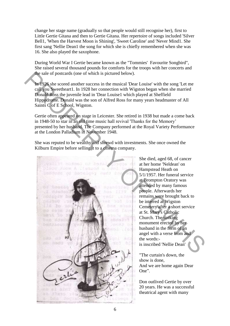change her stage name (gradually so that people would still recognise her), first to Little Gertie Gitana and then to Gertie Gitana. Her repertoire of songs included 'Silver Bell1, 'When the Harvest Moon is Shining', 'Sweet Caroline' and 'Never Mind1. She first sang 'Nellie Dean1 the song for which she is chiefly remembered when she was 16. She also played the saxophone.

During World War I Gertie became known as the "Tommies' Favourite Songbird", She raised several thousand pounds for comforts for the troops with her concerts and the sale of postcards (one of which is pictured below).

In 1926 she scored another success in the musical 'Dear Louise' with the song 'Let me call you Sweetheart1. In 1928 her connection with Wigston began when she married Donald Ross the juvenile lead in 'Dear Louise1 which played at Sheffield Hippodrome. Donald was the son of Alfred Ross for many years headmaster of All Saints C of E School, Wigston.

Gertie often appeared on stage in Leicester. She retired in 1938 but made a come back in 1948-50 to star in an old time music hall revival 'Thanks for the Memory' presented by her husband. The Company performed at the Royal Variety Performance at the London Palladium in November 1948.

She was reputed to be wealthy and shrewd with investments. She once owned the Kilburn Empire before selling it to a cinema company.



She died, aged 68, of cancer at her home 'Neldean' on Hampstead Heath on 5/1/1957. Her funeral service at Brompton Oratory was attended by many famous people. Afterwards her remains were brought back to be interred at Wigston Cemetery after a short service at St. Mary's Catholic Church. The striking monument erected by her husband in the form of an angel with a verse from and the words: is inscribed 'Nellie Dean'

"The curtain's down, the show is done, And we are home again Dear One".

Don outlived Gertie by over 20 years. He was a successful theatrical agent with many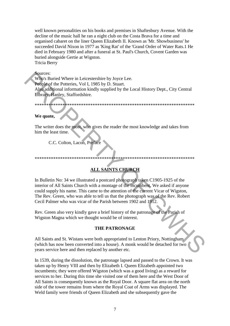well known personalities on his books and premises in Shaftesbury Avenue. With the decline of the music hall he ran a night club on the Costa Brava for a time and organised cabaret on the liner Queen Elizabeth II. Known as 'Mr. Showbusiness' he succeeded David Nixon in 1977 as 'King Rat' of the 'Grand Order of Water Rats.1 He died in February 1980 and after a funeral at St. Paul's Church, Covent Garden was buried alongside Gertie at Wigston. **Tricia Berry** 

#### Sources:

Who's Buried Where in Leicestershire by Joyce Lee. People of the Potteries, Vol I, 1985 by D. Stuart. Also additional information kindly supplied by the Local History Dept., City Central Library, Hanley, Staffordshire.

#### We quote,

The writer does the most, who gives the reader the most knowledge and takes from him the least time.

C.C. Colton, Lacon, Preface

#### 

# **ALL SAINTS CHURCH**

In Bulletin No: 34 we illustrated a postcard photograph taken C1905-1925 of the interior of All Saints Church with a montage of the incumbent. We asked if anyone could supply his name. This came to the attention of the current Vicar of Wigston, The Rev. Green, who was able to tell us that the photograph was of the Rev. Robert Cecil Palmer who was vicar of the Parish between 1902 and 1912.

Rev. Green also very kindly gave a brief history of the patronage of the Parish of Wigston Magna which we thought would be of interest.

#### **THE PATRONAGE**

All Saints and St. Wistans were both appropriated to Lenton Priory, Nottingham (which has now been converted into a house). A monk would be detached for two years service here and then replaced by another etc.

In 1539, during the dissolution, the patronage lapsed and passed to the Crown. It was taken up by Henry VIII and then by Elizabeth I. Queen Elizabeth appointed two incumbents; they were offered Wigston (which was a good living) as a reward for services to her. During this time she visited one of them here and the West Door of All Saints is consequently known as the Royal Door. A square flat area on the north side of the tower remains from where the Royal Coat of Arms was displayed. The Weld family were friends of Queen Elizabeth and she subsequently gave the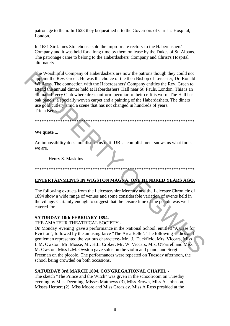patronage to them. In 1623 they bequeathed it to the Governors of Christ's Hospital, London.

In 1631 Sir James Stonehouse sold the impropriate rectory to the Haberdashers' Company and it was held for a long time by them on lease by the Dukes of St. Albans. The patronage came to belong to the Haberdashers' Company and Christ's Hospital alternately.

The Worshipful Company of Haberdashers are now the patrons though they could not appoint the Rev. Green. He was the choice of the then Bishop of Leicester, Dr. Ronald Williams. The connection with the Haberdashers' Company entitles the Rev. Green to attend the annual dinner held at Haberdashers' Hall near St. Pauls, London. This is an all male Livery Club where dress uniform peculiar to their craft is worn. The Hall has oak panels, a specially woven carpet and a painting of the Haberdashers. The diners use gold cutlery amid a scene that has not changed in hundreds of years. Tricia Berry

#### We quote ...

An impossibility does not disturb us until UB accomplishment snows us what fools we are

Henry S. Mask ins

# ENTERTAINMENTS IN WIGSTON MAGNA, ONE HUNDRED YEARS AGO.

The following extracts from the Leicestershire Mercury and the Leicester Chronicle of 1894 show a wide range of venues and some considerable variation of events held in the village. Certainly enough to suggest that the leisure time of the people was well catered for.

#### **SATURDAY 10th FEBRUARY 1894.**

THE AMATEUR THEATRICAL SOCIETY -

On Monday evening gave a performance in the National School, entitled "A Case for Eviction", followed by the amusing farce "The Area Belle". The following ladies and gentlemen represented the various characters: - Mr. J. Tuckfield, Mrs. Viccars, Miss L.M. Owston, Mr. Mosse, Mr. H.L. Croker, Mr. W. Viccars, Mrs. O'Farrell and Miss M. Owston. Miss L.M. Owston gave solos on the violin and piano, and Sergt. Freeman on the piccolo. The performances were repeated on Tuesday afternoon, the school being crowded on both occasions.

#### **SATURDAY 3rd MARCH 1894, CONGREGATIONAL CHAPEL -**

The sketch "The Prince and the Witch" was given in the schoolroom on Tuesday evening by Miss Deeming, Misses Matthews (3), Miss Brown, Miss A. Johnson, Misses Herbert (2), Miss Moore and Miss Greasley. Miss A Ross presided at the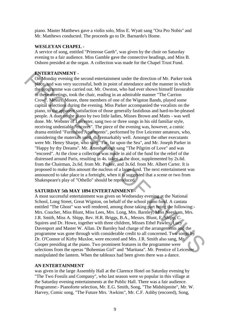piano. Master Matthews gave a violin solo, Miss E. Wyatt sang "Ora Pro Nobis" and Mr. Matthews conducted. The proceeds go to Dr. Barnardo's Home.

#### **WESLEYAN CHAPEL -**

A service of song, entitled "Primrose Garth", was given by the choir on Saturday evening to a fair audience. Miss Gamble gave the connective headings, and Miss B. Osborn presided at the organ. A collection was made for the Chapel Trust Fund.

## **ENTERTAINMENT -**

On Monday evening the second entertainment under the direction of Mr. Parker took place, and was very successful, both in point of attendance and the manner in which the programme was carried out. Mr. Owston, who had ever shown himself favourable to these meetings, took the chair, reading in an admirable manner "The Carrion Crow". Messrs. Moore, three members of one of the Wigston Bands, played some capital selections during the evening. Miss Parker accompanied the vocalists on the piano, to the apparent satisfaction of those generally fastidious and hard-to-be-pleased people. A duet on the piano by two little ladies, Misses Brown and Matts - was well done. Mr. Webster of Leicester, sang two or three songs in his old familiar style, receiving undeniable "encores". The piece of the evening was, however, a comic drama entitled "Furnished Apartments", performed by five Leicester amateurs, who, considering the materials used, did remarkably well. Amongst the other executants were Mr. Henry Sharpe, who sang "Far, far upon the Sea", and Mr. Joseph Parker in "Happy by thy Dreams". Mr. Attenborough sang "The Pilgrim of Love" and was "encored". At the close a collection was made in aid of the fund for the relief of the distressed around Paris, resulting in 4s. taken at the door, supplemented by 2s.6d. from the Chairman, 2s.6d. from Mr. Parker, and 3s.6d. from Mr. Albert Carter. It is proposed to make this amount the nucleus of a large fund. The next entertainment was announced to take place in a fortnight, when it is suggested that a scene or two from Shakespeare's play of "Othello" should be reproduced. **ENTRENTAINMENT:**<br> **Con Monday evening the second entertainment under the direction of Mr. Parker took<br>
pluses and was very successfull, both in point of stutedness and the manner in which<br>
the programme was carried out.** 

# **SATURDAY 5th MAY 1894 ENTERTAINMENT -**

A most successful entertainment was given on Wednesday evening at the National School, Long Street, Great Wigston, on behalf of the school piano fund. A cantata entitled "The Ghost" was well rendered, among those taking part being the following:- Mrs. Coucher, Miss Blunt, Miss Lees, Mrs. Long, Mrs. Barnley, Miss Neesham, Mrs. J.R. Smith, Miss A. Shipp, Rev. H.R. Briggs, B.A., Messrs. Blunt, E. Shipp, C. Squires and Dr. Howe, together with three children, Misses Ethel Pawley, Lucy Davenport and Master W. Allan. Dr Barnley had charge of the arrangements and the programme was gone through with considerable credit to all concerned. Two songs by Dr. O'Connor of Kirby Muxloe, were encored and Mrs. J.R. Smith also sang, Mr. Cooper presiding at the piano. Two prominent features in the programme were selections from the operas "Bohemian Girl" and "Maritana". Mr. Prentice of Leicester manipulated the lantern. When the tableaux had been given there was a dance.

#### **AN ENTERTAINMENT**

was given in the large Assembly Hall at the Clarence Hotel on Saturday evening by "The Two Fossils and Company", who last season were so popular in this village at the Saturday evening entertainments at the Public Hall. There was a fair audience. Programme:- Pianoforte selection, Mr. E.G. Smith, Song, "The Midshipmite", Mr. W. Harvey, Comic song, "The Future Mrs. 'Awkins", Mr. C.F. Ashby (encored), Song,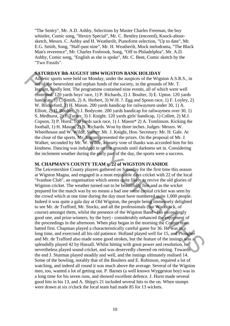"The Sentry", Mr. A.D. Ashby, Selections by Master Charles Freeman, the boy whistler, Comic song, "Hextry Special", Mr. C. Bentley (encored), Knock-aboutsketch, Messrs. C. Ashby and H. Weatherilt, Pianoforte selection, "Up to date", Mr. E.G. Smith, Song, "Half-past nine", Mr. H. Weatherilt, Mock melodrama, "The Black Man's reverence", Mr. Charles Fosbrook, Song, "Off to Philadelphia", Mr. A.D. Ashby, Comic song, "English as she is spoke", Mr. C. Bent, Comic sketch by the "Two Fossils".

#### **SATURDAY llth AUGUST 1894 WIGSTON BANK HOLIDAY**

Athletic sports were held on Monday, under the auspices of the Wigston A.S.R.S., in aid of the benevolent and orphan funds of the society, in the grounds of Mr. T. Ingram, kindly lent. The programme contained nine events, all of which were well contested. 120 yards boys' race, 1) P. Richards, 2) J. Boulter, 3) E. Upton. 120 yards handicap, 1) C. Smith, 2) A. Herbert, 3) W.H. ?. Egg and Spoon race, 1) F. Loyley, 2) W. Bridgeford, 3) H. Mason. 200 yards handicap for railwaymen under 30, 1) A. Elliott, 2) H. Boulter, 3) J. Bodycote. 200 yards handicap for railwaymen over 30, 1) S. Medhurst, 2) J. Turner, 3) J. Knight. 120 yards girls' handicap, 1) Collett, 2) M.J. Copson, 3) P. Hurst. 100 yards sack race, 1) J. Mason\* 2) A. Tomlinson. Kicking the football, 1) H. Mason, 2) B. Richards. Won by three inches. Judges: Messrs. W. Wheelhouse and W. Wilde, Starter: Mr. J. Knight, Hon. Secretary: Mr. H. Gale. At the close of the sports, Mr. Ingram presented the prizes. On the proposal of Mr. J. Walker, seconded by Mr. W. Wilde, a hearty vote of thanks was accorded him for his kindness. Dancing was indulged in on the grounds until darkness set in. Considering the inclement weather during the early part of the day, the sports were a success.

# **M. CHAPMAN'S COUNTY TEAM v. 22 of WIGSTON IVANHOE**

The Leicestershire County players gathered on Saturday for the first time this season at Wigston Magna, and engaged in a most enjoyable days cricket with 22 of the local "Ivanhoe Club", an organisation which seems quite likely to revive the old glories of Wigston cricket. The weather turned out to be beautifully fine and as the wicket prepared for the match was by no means a bad one some capital cricket was seen by the crowd which at one time during the day must have numbered quite 1,000 people. Indeed it was quite a gala day at Old Wigston, the people being immensely delighted to see Mr. de Trafford, Mr. Stocks, and all the professionals (bar Woodcock, of course) amongst them, whilst the presence of the Wigston Band - (an exceedingly good one, and prize-winners, by the bye) - considerably enhanced the enjoyment of the proceedings in the afternoon. When play began in the morning the County team batted first. Chapman played a characteristically careful game for 36. He was in a long time, and exercised all his old patience. Holland played well for 15, and Plougher and Mr. de Trafford also made some good strokes, but the feature of the innings was a splendidly played 42 by Hassall. Whilst hitting with great power and resolution, he nevertheless played sound cricket, and was deservedly cheered on retiring. Towards the end J. Sturman played steadily and well, and the innings ultimately realised 14. Some of the bowling, notably that of the Boulters and E. Robinson, required a lot of watching, and indeed all round it was much above the average. Several of the Wigston men, too, wanted a lot of getting out. P. Barnes (a well known Wyggeston boy) was in a long time for his seven runs, and showed excellent defence. J. Hurst made several good hits in his 13, and A. Shipp's 21 included several hits to the on. When stumps were drawn at six o'clock the local team had made 85 for 13 wickets. **ANTICHANT MATIGUST 1894 WIGSTION BANK HOLLDAY**<br> **Adhetic sports were held on Monday, under the auspiess of the Wigston A.S.R.S., in<br>
and of the benevolent and orphan funds of the society, in the genumbals of Mr. T.<br>
Ingr**